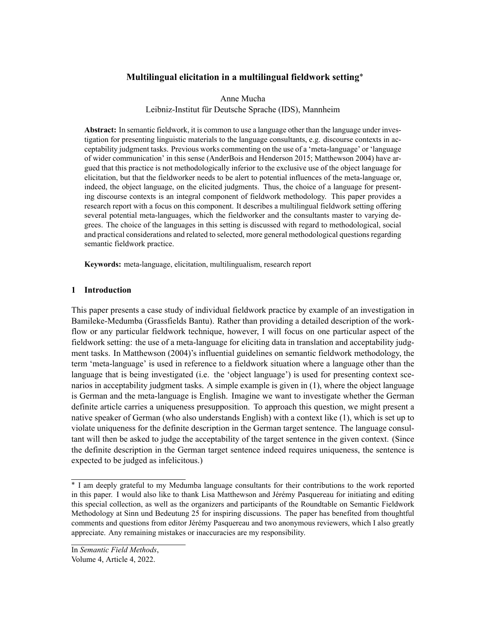# **Multilingual elicitation in a multilingual fieldwork setting**\*

Anne Mucha Leibniz-Institut für Deutsche Sprache (IDS), Mannheim

**Abstract:** In semantic fieldwork, it is common to use a language other than the language under investigation for presenting linguistic materials to the language consultants, e.g. discourse contexts in acceptability judgment tasks. Previous works commenting on the use of a 'meta-language' or 'language of wider communication' in this sense([AnderBois and Henderson](#page-18-0) [2015](#page-18-0); [Matthewson](#page-19-0) [2004\)](#page-19-0) have argued that this practice is not methodologically inferior to the exclusive use of the object language for elicitation, but that the fieldworker needs to be alert to potential influences of the meta-language or, indeed, the object language, on the elicited judgments. Thus, the choice of a language for presenting discourse contexts is an integral component of fieldwork methodology. This paper provides a research report with a focus on this component. It describes a multilingual fieldwork setting offering several potential meta-languages, which the fieldworker and the consultants master to varying degrees. The choice of the languages in this setting is discussed with regard to methodological, social and practical considerations and related to selected, more general methodological questions regarding semantic fieldwork practice.

**Keywords:** meta-language, elicitation, multilingualism, research report

# <span id="page-0-0"></span>**1 Introduction**

This paper presents a case study of individual fieldwork practice by example of an investigation in Bamileke-Medumba (Grassfields Bantu). Rather than providing a detailed description of the workflow or any particular fieldwork technique, however, I will focus on one particular aspect of the fieldwork setting: the use of a meta-language for eliciting data in translation and acceptability judgment tasks. In [Matthewson](#page-19-0) [\(2004\)](#page-19-0)'s influential guidelines on semantic fieldwork methodology, the term 'meta-language' is used in reference to a fieldwork situation where a language other than the language that is being investigated (i.e. the 'object language') is used for presenting context scenarios in acceptability judgment tasks. A simple example is given in([1](#page-0-0)), where the object language is German and the meta-language is English. Imagine we want to investigate whether the German definite article carries a uniqueness presupposition. To approach this question, we might present a native speaker of German (who also understands English) with a context like [\(1\)](#page-0-0), which is set up to violate uniqueness for the definite description in the German target sentence. The language consultant will then be asked to judge the acceptability of the target sentence in the given context. (Since the definite description in the German target sentence indeed requires uniqueness, the sentence is expected to be judged as infelicitous.)

<sup>\*</sup> I am deeply grateful to my Medumba language consultants for their contributions to the work reported in this paper. I would also like to thank Lisa Matthewson and Jérémy Pasquereau for initiating and editing this special collection, as well as the organizers and participants of the Roundtable on Semantic Fieldwork Methodology at Sinn und Bedeutung 25 for inspiring discussions. The paper has benefited from thoughtful comments and questions from editor Jérémy Pasquereau and two anonymous reviewers, which I also greatly appreciate. Any remaining mistakes or inaccuracies are my responsibility.

In *Semantic Field Methods*,

Volume 4, Article 4, 2022.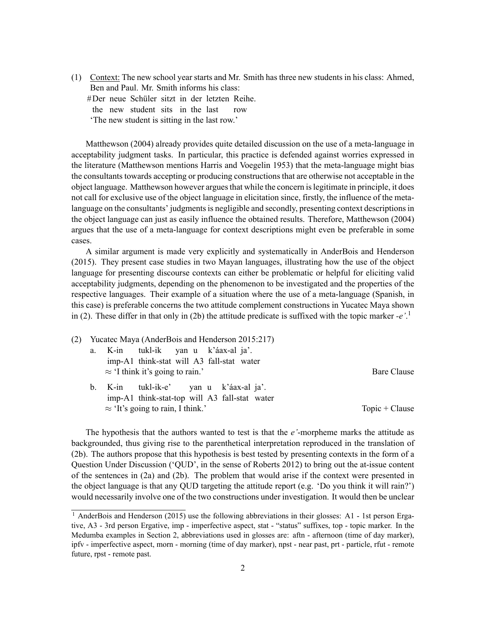(1) Context: The new school year starts and Mr. Smith has three new students in his class: Ahmed, Ben and Paul. Mr. Smith informs his class: #Der neue Schüler sitzt in der letzten Reihe.

the new student sits in the last row

'The new student is sitting in the last row.'

[Matthewson](#page-19-0) [\(2004](#page-19-0)) already provides quite detailed discussion on the use of a meta-language in acceptability judgment tasks. In particular, this practice is defended against worries expressed in the literature (Matthewson mentions [Harris and Voegelin](#page-18-1) [1953\)](#page-18-1) that the meta-language might bias the consultants towards accepting or producing constructions that are otherwise not acceptable in the object language. Matthewson however argues that while the concern is legitimate in principle, it does not call for exclusive use of the object language in elicitation since, firstly, the influence of the metalanguage on the consultants' judgments is negligible and secondly, presenting context descriptions in the object language can just as easily influence the obtained results. Therefore, [Matthewson](#page-19-0) ([2004](#page-19-0)) argues that the use of a meta-language for context descriptions might even be preferable in some cases.

A similar argument is made very explicitly and systematically in [AnderBois and Henderson](#page-18-0) ([2015](#page-18-0)). They present case studies in two Mayan languages, illustrating how the use of the object language for presenting discourse contexts can either be problematic or helpful for eliciting valid acceptability judgments, depending on the phenomenon to be investigated and the properties of the respective languages. Their example of a situation where the use of a meta-language (Spanish, in this case) is preferable concerns the two attitude complement constructions in Yucatec Maya shown in([2](#page-0-0)). These differ in that only in [\(2b](#page-0-0)) the attitude predicate is suffixed with the topic marker *-e'*. [1](#page-1-0)

|  | (2) Yucatec Maya (AnderBois and Henderson 2015:217) |                                           |                                                                                         |  |  |  |                  |  |  |
|--|-----------------------------------------------------|-------------------------------------------|-----------------------------------------------------------------------------------------|--|--|--|------------------|--|--|
|  | a.                                                  |                                           | K-in tukl-ik yan u k'áax-al ja'.                                                        |  |  |  |                  |  |  |
|  |                                                     | imp-A1 think-stat will A3 fall-stat water |                                                                                         |  |  |  |                  |  |  |
|  | $\approx$ 'I think it's going to rain.'             |                                           |                                                                                         |  |  |  | Bare Clause      |  |  |
|  |                                                     |                                           | b. K-in tukl-ik-e' yan u k'áax-al ja'.<br>imp-A1 think-stat-top will A3 fall-stat water |  |  |  |                  |  |  |
|  |                                                     | $\approx$ 'It's going to rain, I think.'  |                                                                                         |  |  |  | $Topic + Claude$ |  |  |

The hypothesis that the authors wanted to test is that the *e'*-morpheme marks the attitude as backgrounded, thus giving rise to the parenthetical interpretation reproduced in the translation of ([2b\)](#page-0-0). The authors propose that this hypothesis is best tested by presenting contexts in the form of a Question Under Discussion ('QUD', in the sense of [Roberts](#page-19-1) [2012](#page-19-1)) to bring out the at-issue content of the sentences in([2a](#page-0-0)) and [\(2b](#page-0-0)). The problem that would arise if the context were presented in the object language is that any QUD targeting the attitude report (e.g. 'Do you think it will rain?') would necessarily involve one of the two constructions under investigation. It would then be unclear

<span id="page-1-0"></span><sup>&</sup>lt;sup>1</sup> [AnderBois and Henderson](#page-18-0) ([2015\)](#page-18-0) use the following abbreviations in their glosses: A1 - 1st person Ergative, A3 - 3rd person Ergative, imp - imperfective aspect, stat - "status" suffixes, top - topic marker. In the Medumba examples in Section [2,](#page-3-0) abbreviations used in glosses are: aftn - afternoon (time of day marker), ipfv - imperfective aspect, morn - morning (time of day marker), npst - near past, prt - particle, rfut - remote future, rpst - remote past.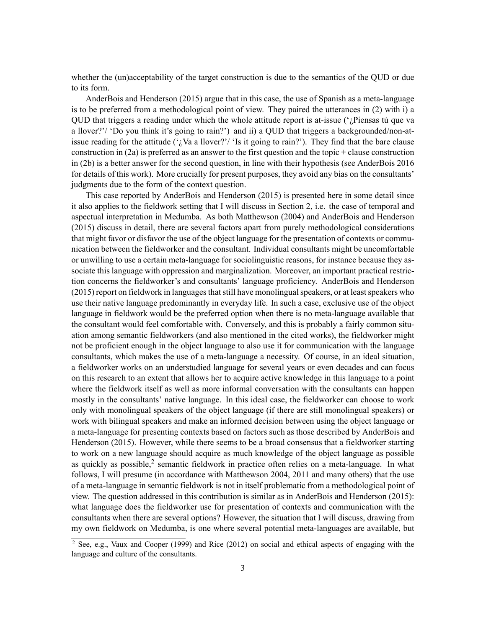whether the (un)acceptability of the target construction is due to the semantics of the QUD or due to its form.

[AnderBois and Henderson](#page-18-0) ([2015](#page-18-0)) argue that in this case, the use of Spanish as a meta-language is to be preferred from a methodological point of view. They paired the utterances in([2](#page-0-0)) with i) a QUD that triggers a reading under which the whole attitude report is at-issue  $('$ <sub>i</sub>Piensas tú que va a llover?'/ 'Do you think it's going to rain?') and ii) a QUD that triggers a backgrounded/non-atissue reading for the attitude (' $\zeta$ Va a llover?'/ 'Is it going to rain?'). They find that the bare clause constructionin  $(2a)$  $(2a)$  $(2a)$  is preferred as an answer to the first question and the topic + clause construction in([2b\)](#page-0-0) is a better answer for the second question, in line with their hypothesis (see [AnderBois](#page-18-2) [2016](#page-18-2) for details of this work). More crucially for present purposes, they avoid any bias on the consultants' judgments due to the form of the context question.

This case reported by [AnderBois and Henderson](#page-18-0) ([2015\)](#page-18-0) is presented here in some detail since it also applies to the fieldwork setting that I will discuss in Section [2](#page-3-0), i.e. the case of temporal and aspectual interpretation in Medumba. As both [Matthewson](#page-19-0) ([2004\)](#page-19-0) and [AnderBois and Henderson](#page-18-0) ([2015](#page-18-0)) discuss in detail, there are several factors apart from purely methodological considerations that might favor or disfavor the use of the object language for the presentation of contexts or communication between the fieldworker and the consultant. Individual consultants might be uncomfortable or unwilling to use a certain meta-language for sociolinguistic reasons, for instance because they associate this language with oppression and marginalization. Moreover, an important practical restriction concerns the fieldworker's and consultants' language proficiency. [AnderBois and Henderson](#page-18-0) ([2015](#page-18-0)) report on fieldwork in languages that still have monolingual speakers, or at least speakers who use their native language predominantly in everyday life. In such a case, exclusive use of the object language in fieldwork would be the preferred option when there is no meta-language available that the consultant would feel comfortable with. Conversely, and this is probably a fairly common situation among semantic fieldworkers (and also mentioned in the cited works), the fieldworker might not be proficient enough in the object language to also use it for communication with the language consultants, which makes the use of a meta-language a necessity. Of course, in an ideal situation, a fieldworker works on an understudied language for several years or even decades and can focus on this research to an extent that allows her to acquire active knowledge in this language to a point where the fieldwork itself as well as more informal conversation with the consultants can happen mostly in the consultants' native language. In this ideal case, the fieldworker can choose to work only with monolingual speakers of the object language (if there are still monolingual speakers) or work with bilingual speakers and make an informed decision between using the object language or a meta-language for presenting contexts based on factors such as those described by [AnderBois and](#page-18-0) [Henderson](#page-18-0) ([2015\)](#page-18-0). However, while there seems to be a broad consensus that a fieldworker starting to work on a new language should acquire as much knowledge of the object language as possible as quickly as possible,<sup>[2](#page-2-0)</sup> semantic fieldwork in practice often relies on a meta-language. In what follows, I will presume (in accordance with [Matthewson](#page-19-0) [2004,](#page-19-0) [2011](#page-19-2) and many others) that the use of a meta-language in semantic fieldwork is not in itself problematic from a methodological point of view. The question addressed in this contribution is similar as in [AnderBois and Henderson](#page-18-0) ([2015](#page-18-0)): what language does the fieldworker use for presentation of contexts and communication with the consultants when there are several options? However, the situation that I will discuss, drawing from my own fieldwork on Medumba, is one where several potential meta-languages are available, but

<span id="page-2-0"></span> $\frac{2}{2}$  See, e.g., [Vaux and Cooper](#page-19-3) ([1999](#page-19-3)) and [Rice](#page-19-4) ([2012\)](#page-19-4) on social and ethical aspects of engaging with the language and culture of the consultants.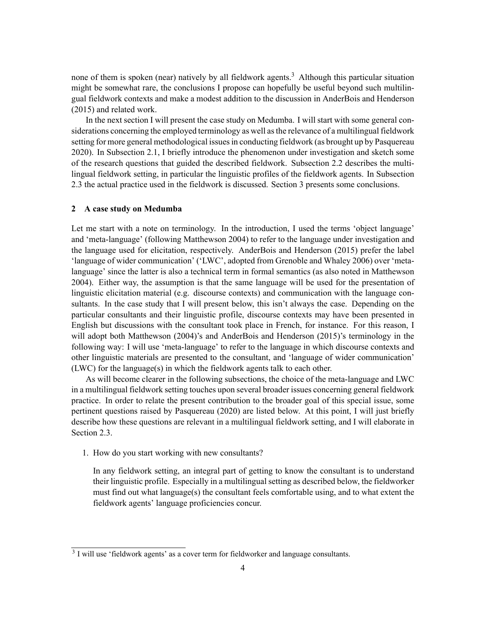none of them is spoken (near) natively by all fieldwork agents.<sup>[3](#page-3-1)</sup> Although this particular situation might be somewhat rare, the conclusions I propose can hopefully be useful beyond such multilingual fieldwork contexts and make a modest addition to the discussion in [AnderBois and Henderson](#page-18-0) ([2015](#page-18-0)) and related work.

In the next section I will present the case study on Medumba. I will start with some general considerations concerning the employed terminology as well as the relevance of a multilingual fieldwork setting for more general methodological issues in conducting fieldwork (as brought up by [Pasquereau](#page-19-5) [2020\)](#page-19-5). In Subsection [2.1,](#page-4-0) I briefly introduce the phenomenon under investigation and sketch some of the research questions that guided the described fieldwork. Subsection [2.2](#page-7-0) describes the multilingual fieldwork setting, in particular the linguistic profiles of the fieldwork agents. In Subsection [2.3](#page-10-0) the actual practice used in the fieldwork is discussed. Section [3](#page-16-0) presents some conclusions.

### <span id="page-3-0"></span>**2 A case study on Medumba**

Let me start with a note on terminology. In the introduction, I used the terms 'object language' and 'meta-language' (following [Matthewson](#page-19-0) [2004\)](#page-19-0) to refer to the language under investigation and the language used for elicitation, respectively. [AnderBois and Henderson](#page-18-0) [\(2015](#page-18-0)) prefer the label 'language of wider communication' ('LWC', adopted from [Grenoble and Whaley](#page-18-3) [2006\)](#page-18-3) over 'metalanguage' since the latter is also a technical term in formal semantics (as also noted in [Matthewson](#page-19-0) [2004\)](#page-19-0). Either way, the assumption is that the same language will be used for the presentation of linguistic elicitation material (e.g. discourse contexts) and communication with the language consultants. In the case study that I will present below, this isn't always the case. Depending on the particular consultants and their linguistic profile, discourse contexts may have been presented in English but discussions with the consultant took place in French, for instance. For this reason, I will adopt both [Matthewson](#page-19-0) ([2004\)](#page-19-0)'s and [AnderBois and Henderson](#page-18-0) [\(2015](#page-18-0))'s terminology in the following way: I will use 'meta-language' to refer to the language in which discourse contexts and other linguistic materials are presented to the consultant, and 'language of wider communication' (LWC) for the language(s) in which the fieldwork agents talk to each other.

As will become clearer in the following subsections, the choice of the meta-language and LWC in a multilingual fieldwork setting touches upon several broader issues concerning general fieldwork practice. In order to relate the present contribution to the broader goal of this special issue, some pertinent questions raised by [Pasquereau](#page-19-5) [\(2020](#page-19-5)) are listed below. At this point, I will just briefly describe how these questions are relevant in a multilingual fieldwork setting, and I will elaborate in Section [2.3](#page-10-0).

<span id="page-3-2"></span>1. How do you start working with new consultants?

In any fieldwork setting, an integral part of getting to know the consultant is to understand their linguistic profile. Especially in a multilingual setting as described below, the fieldworker must find out what language(s) the consultant feels comfortable using, and to what extent the fieldwork agents' language proficiencies concur.

<span id="page-3-1"></span><sup>&</sup>lt;sup>3</sup> I will use 'fieldwork agents' as a cover term for fieldworker and language consultants.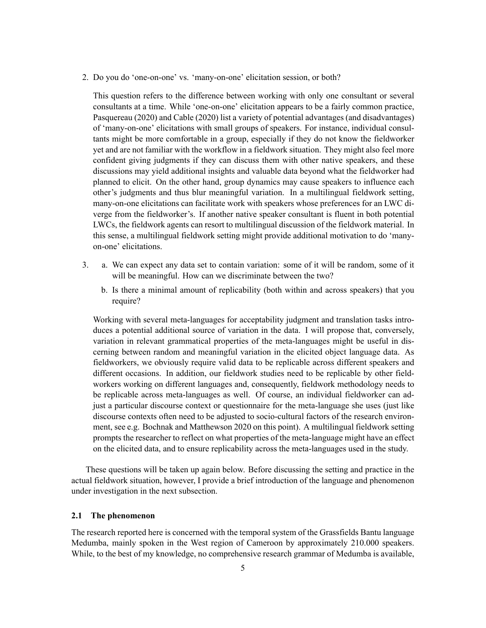<span id="page-4-1"></span>2. Do you do 'one-on-one' vs. 'many-on-one' elicitation session, or both?

This question refers to the difference between working with only one consultant or several consultants at a time. While 'one-on-one' elicitation appears to be a fairly common practice, [Pasquereau](#page-19-5) ([2020\)](#page-19-5) and [Cable](#page-18-4) ([2020\)](#page-18-4) list a variety of potential advantages (and disadvantages) of 'many-on-one' elicitations with small groups of speakers. For instance, individual consultants might be more comfortable in a group, especially if they do not know the fieldworker yet and are not familiar with the workflow in a fieldwork situation. They might also feel more confident giving judgments if they can discuss them with other native speakers, and these discussions may yield additional insights and valuable data beyond what the fieldworker had planned to elicit. On the other hand, group dynamics may cause speakers to influence each other's judgments and thus blur meaningful variation. In a multilingual fieldwork setting, many-on-one elicitations can facilitate work with speakers whose preferences for an LWC diverge from the fieldworker's. If another native speaker consultant is fluent in both potential LWCs, the fieldwork agents can resort to multilingual discussion of the fieldwork material. In this sense, a multilingual fieldwork setting might provide additional motivation to do 'manyon-one' elicitations.

- <span id="page-4-2"></span>3. a. We can expect any data set to contain variation: some of it will be random, some of it will be meaningful. How can we discriminate between the two?
	- b. Is there a minimal amount of replicability (both within and across speakers) that you require?

Working with several meta-languages for acceptability judgment and translation tasks introduces a potential additional source of variation in the data. I will propose that, conversely, variation in relevant grammatical properties of the meta-languages might be useful in discerning between random and meaningful variation in the elicited object language data. As fieldworkers, we obviously require valid data to be replicable across different speakers and different occasions. In addition, our fieldwork studies need to be replicable by other fieldworkers working on different languages and, consequently, fieldwork methodology needs to be replicable across meta-languages as well. Of course, an individual fieldworker can adjust a particular discourse context or questionnaire for the meta-language she uses (just like discourse contexts often need to be adjusted to socio-cultural factors of the research environment, see e.g. [Bochnak and Matthewson](#page-18-5) [2020](#page-18-5) on this point). A multilingual fieldwork setting prompts the researcher to reflect on what properties of the meta-language might have an effect on the elicited data, and to ensure replicability across the meta-languages used in the study.

These questions will be taken up again below. Before discussing the setting and practice in the actual fieldwork situation, however, I provide a brief introduction of the language and phenomenon under investigation in the next subsection.

### <span id="page-4-0"></span>**2.1 The phenomenon**

The research reported here is concerned with the temporal system of the Grassfields Bantu language Medumba, mainly spoken in the West region of Cameroon by approximately 210.000 speakers. While, to the best of my knowledge, no comprehensive research grammar of Medumba is available,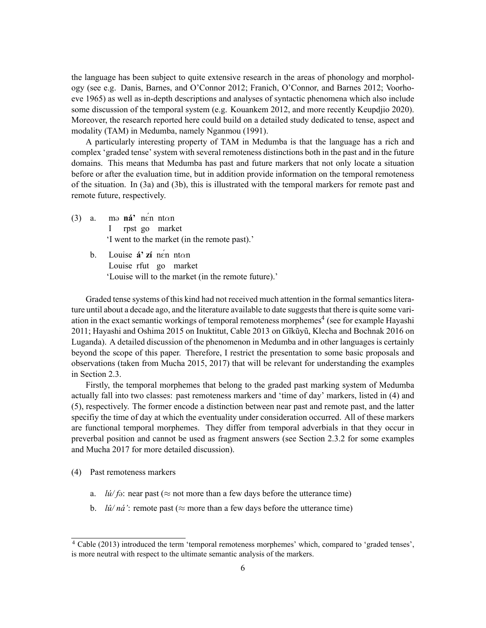the language has been subject to quite extensive research in the areas of phonology and morphology (see e.g. [Danis, Barnes, and O'Connor](#page-18-6) [2012](#page-18-6); [Franich, O'Connor, and Barnes](#page-18-7) [2012](#page-18-7); [Voorho](#page-20-0)[eve](#page-20-0) [1965\)](#page-20-0) as well as in-depth descriptions and analyses of syntactic phenomena which also include some discussion of the temporal system (e.g. [Kouankem](#page-19-6) [2012,](#page-19-6) and more recently [Keupdjio](#page-19-7) [2020\)](#page-19-7). Moreover, the research reported here could build on a detailed study dedicated to tense, aspect and modality (TAM) in Medumba, namely [Nganmou](#page-19-8) ([1991\)](#page-19-8).

A particularly interesting property of TAM in Medumba is that the language has a rich and complex 'graded tense' system with several remoteness distinctions both in the past and in the future domains. This means that Medumba has past and future markers that not only locate a situation before or after the evaluation time, but in addition provide information on the temporal remoteness of the situation. In [\(3a](#page-4-0)) and([3b\)](#page-4-0), this is illustrated with the temporal markers for remote past and remote future, respectively.

- $(3)$  a. I **ná'** nen ntαn rpst go market 'I went to the market (in the remote past).'
	- b. Louise **á' zí** nen ntαn Louise rfut go market 'Louise will to the market (in the remote future).'

Graded tense systems of this kind had not received much attention in the formal semantics literature until about a decade ago, and the literature available to date suggests that there is quite some vari-ation in the exact semantic workings of temporal remoteness morphemes<sup>[4](#page-5-0)</sup> (see for example [Hayashi](#page-18-8) [2011](#page-18-8); [Hayashi and Oshima](#page-19-9) [2015](#page-19-9) on Inuktitut, [Cable](#page-18-9) [2013](#page-18-9) on Gĩkũyũ, [Klecha and Bochnak](#page-19-10) [2016](#page-19-10) on Luganda). A detailed discussion of the phenomenon in Medumba and in other languages is certainly beyond the scope of this paper. Therefore, I restrict the presentation to some basic proposals and observations (taken from [Mucha](#page-19-11) [2015](#page-19-11), [2017\)](#page-19-12) that will be relevant for understanding the examples in Section [2.3](#page-10-0).

Firstly, the temporal morphemes that belong to the graded past marking system of Medumba actually fall into two classes: past remoteness markers and 'time of day' markers, listed in [\(4\)](#page-4-0) and ([5](#page-4-0)), respectively. The former encode a distinction between near past and remote past, and the latter specifiy the time of day at which the eventuality under consideration occurred. All of these markers are functional temporal morphemes. They differ from temporal adverbials in that they occur in preverbal position and cannot be used as fragment answers (see Section [2.3.2](#page-12-0) for some examples and [Mucha](#page-19-12) [2017](#page-19-12) for more detailed discussion).

- (4) Past remoteness markers
	- a. *lú/f* $\theta$ : near past ( $\approx$  not more than a few days before the utterance time)
	- b. *lû/ná'*: remote past ( $\approx$  more than a few days before the utterance time)

<span id="page-5-0"></span><sup>4</sup> [Cable](#page-18-9) [\(2013](#page-18-9)) introduced the term 'temporal remoteness morphemes' which, compared to 'graded tenses', is more neutral with respect to the ultimate semantic analysis of the markers.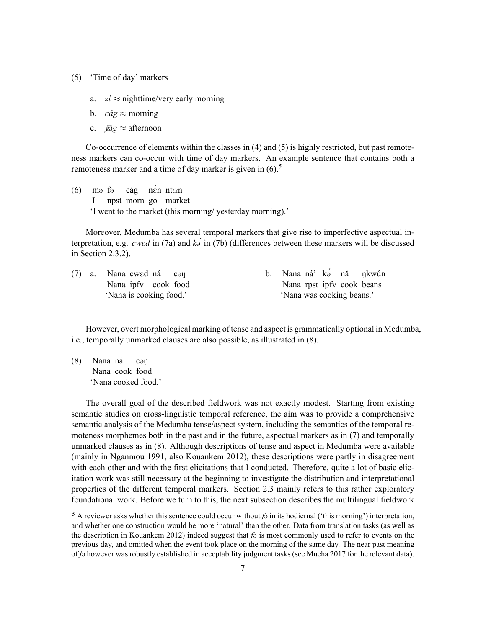- (5) 'Time of day' markers
	- a.  $zi \approx$  nighttime/very early morning
	- b.  $c\acute{a}g \approx$  morning
	- c.  $\sqrt{2}g \approx$  afternoon

Co-occurrence of elements within the classes in([4](#page-4-0)) and [\(5\)](#page-4-0) is highly restricted, but past remoteness markers can co-occur with time of day markers. An example sentence that contains both a remoteness marker and a time of day marker is given in  $(6)$ .<sup>[5](#page-6-0)</sup>

 $(6)$ I m<sub>a</sub> f<sub>a</sub> npst morn go market cág nÉn nt*α*n 'I went to the market (this morning/ yesterday morning).'

Moreover, Medumba has several temporal markers that give rise to imperfective aspectual interpretation,e.g. *cwed* in [\(7a\)](#page-4-0) and  $k\sigma$ <sup>*i*</sup> in ([7b\)](#page-4-0) (differences between these markers will be discussed in Section [2.3.2](#page-12-0)).

 $(7)$  a. Nana ipfv cook food cwEd ná cən 'Nana is cooking food.'

b. Nana ná' kə nă Nana rpst ipfv cook beans ŋkwún 'Nana was cooking beans.'

However, overt morphological marking of tense and aspect is grammatically optional in Medumba, i.e., temporally unmarked clauses are also possible, as illustrated in([8](#page-4-0)).

(8) Nana ná Nana cook food c@ŋ 'Nana cooked food.'

The overall goal of the described fieldwork was not exactly modest. Starting from existing semantic studies on cross-linguistic temporal reference, the aim was to provide a comprehensive semantic analysis of the Medumba tense/aspect system, including the semantics of the temporal remoteness morphemes both in the past and in the future, aspectual markers as in [\(7\)](#page-4-0) and temporally unmarked clauses as in [\(8](#page-4-0)). Although descriptions of tense and aspect in Medumba were available (mainly in [Nganmou](#page-19-8) [1991](#page-19-8), also [Kouankem](#page-19-6) [2012](#page-19-6)), these descriptions were partly in disagreement with each other and with the first elicitations that I conducted. Therefore, quite a lot of basic elicitation work was still necessary at the beginning to investigate the distribution and interpretational properties of the different temporal markers. Section [2.3](#page-10-0) mainly refers to this rather exploratory foundational work. Before we turn to this, the next subsection describes the multilingual fieldwork

<span id="page-6-0"></span> $5$  A reviewer asks whether this sentence could occur without  $f_{\theta}$  in its hodiernal ('this morning') interpretation, and whether one construction would be more 'natural' than the other. Data from translation tasks (as well as the description in [Kouankem](#page-19-6) [2012\)](#page-19-6) indeed suggest that  $f_{\theta}$  is most commonly used to refer to events on the previous day, and omitted when the event took place on the morning of the same day. The near past meaning of *f* $\theta$  however was robustly established in acceptability judgment tasks (see [Mucha](#page-19-12) [2017](#page-19-12) for the relevant data).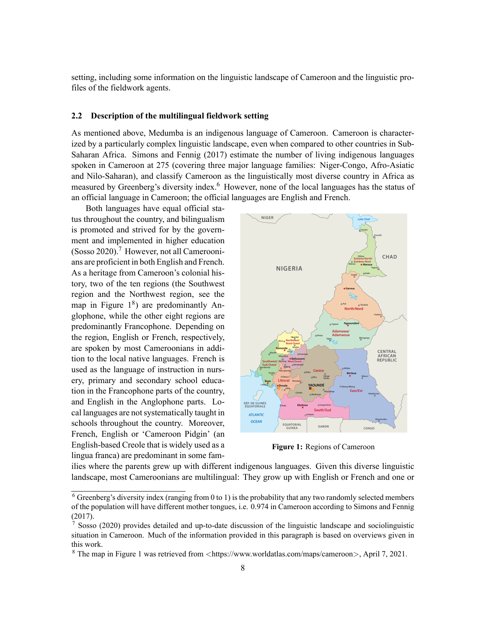setting, including some information on the linguistic landscape of Cameroon and the linguistic profiles of the fieldwork agents.

## <span id="page-7-0"></span>**2.2 Description of the multilingual fieldwork setting**

As mentioned above, Medumba is an indigenous language of Cameroon. Cameroon is characterized by a particularly complex linguistic landscape, even when compared to other countries in Sub-Saharan Africa. [Simons and Fennig](#page-19-13) ([2017](#page-19-13)) estimate the number of living indigenous languages spoken in Cameroon at 275 (covering three major language families: Niger-Congo, Afro-Asiatic and Nilo-Saharan), and classify Cameroon as the linguistically most diverse country in Africa as measured by Greenberg's diversity index.<sup>[6](#page-7-1)</sup> However, none of the local languages has the status of an official language in Cameroon; the official languages are English and French.

Both languages have equal official status throughout the country, and bilingualism is promoted and strived for by the government and implemented in higher education  $(Sosso 2020)$  $(Sosso 2020)$  $(Sosso 2020)$  $(Sosso 2020)$  $(Sosso 2020)$ .<sup>[7](#page-7-2)</sup> However, not all Cameroonians are proficient in both English and French. As a heritage from Cameroon's colonial history, two of the ten regions (the Southwest region and the Northwest region, see the map in Figure  $1^8$  $1^8$ ) are predominantly Anglophone, while the other eight regions are predominantly Francophone. Depending on the region, English or French, respectively, are spoken by most Cameroonians in addition to the local native languages. French is used as the language of instruction in nursery, primary and secondary school education in the Francophone parts of the country, and English in the Anglophone parts. Local languages are not systematically taught in schools throughout the country. Moreover, French, English or 'Cameroon Pidgin' (an English-based Creole that is widely used as a lingua franca) are predominant in some fam-



**Figure 1:** Regions of Cameroon

ilies where the parents grew up with different indigenous languages. Given this diverse linguistic landscape, most Cameroonians are multilingual: They grow up with English or French and one or

<span id="page-7-1"></span><sup>6</sup> Greenberg's diversity index (ranging from 0 to 1) is the probability that any two randomly selected members of the population will have different mother tongues, i.e. 0.974 in Cameroon according to [Simons and Fennig](#page-19-13) [\(2017](#page-19-13)).

<span id="page-7-2"></span><sup>&</sup>lt;sup>7</sup> [Sosso](#page-19-14) ([2020](#page-19-14)) provides detailed and up-to-date discussion of the linguistic landscape and sociolinguistic situation in Cameroon. Much of the information provided in this paragraph is based on overviews given in this work.

<span id="page-7-3"></span><sup>8</sup> The map in Figure 1 was retrieved from *<*https://www.worldatlas.com/maps/cameroon*>*, April 7, 2021.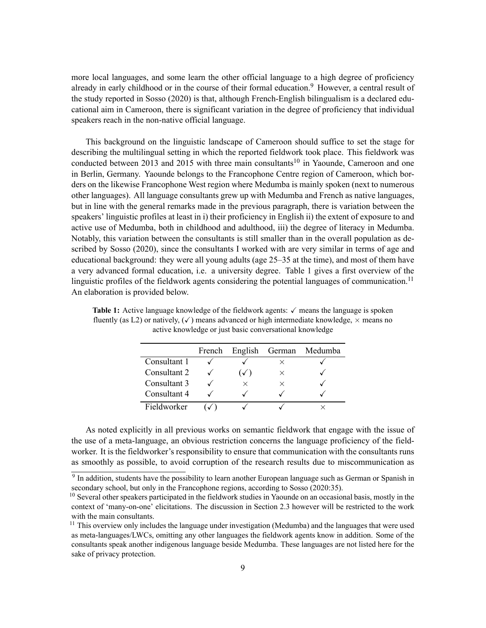more local languages, and some learn the other official language to a high degree of proficiency already in early childhood or in the course of their formal education.<sup>[9](#page-8-0)</sup> However, a central result of the study reported in [Sosso](#page-19-14) [\(2020](#page-19-14)) is that, although French-English bilingualism is a declared educational aim in Cameroon, there is significant variation in the degree of proficiency that individual speakers reach in the non-native official language.

This background on the linguistic landscape of Cameroon should suffice to set the stage for describing the multilingual setting in which the reported fieldwork took place. This fieldwork was conducted between 2013 and 2015 with three main consultants<sup>[10](#page-8-1)</sup> in Yaounde, Cameroon and one in Berlin, Germany. Yaounde belongs to the Francophone Centre region of Cameroon, which borders on the likewise Francophone West region where Medumba is mainly spoken (next to numerous other languages). All language consultants grew up with Medumba and French as native languages, but in line with the general remarks made in the previous paragraph, there is variation between the speakers' linguistic profiles at least in i) their proficiency in English ii) the extent of exposure to and active use of Medumba, both in childhood and adulthood, iii) the degree of literacy in Medumba. Notably, this variation between the consultants is still smaller than in the overall population as described by [Sosso](#page-19-14) [\(2020](#page-19-14)), since the consultants I worked with are very similar in terms of age and educational background: they were all young adults (age 25–35 at the time), and most of them have a very advanced formal education, i.e. a university degree. Table [1](#page-8-2) gives a first overview of the linguistic profiles of the fieldwork agents considering the potential languages of communication.<sup>[11](#page-8-3)</sup> An elaboration is provided below.

|              | French |                |          | English German Medumba |
|--------------|--------|----------------|----------|------------------------|
| Consultant 1 |        |                | ×        |                        |
| Consultant 2 |        | $\checkmark$ ) | $\times$ |                        |
| Consultant 3 |        | ×              | $\times$ |                        |
| Consultant 4 |        |                |          |                        |
| Fieldworker  |        |                |          |                        |

<span id="page-8-2"></span>**Table 1:** Active language knowledge of the fieldwork agents: ✓ means the language is spoken fluently (as L2) or natively, (✓) means advanced or high intermediate knowledge, *×* means no active knowledge or just basic conversational knowledge

As noted explicitly in all previous works on semantic fieldwork that engage with the issue of the use of a meta-language, an obvious restriction concerns the language proficiency of the fieldworker. It is the fieldworker's responsibility to ensure that communication with the consultants runs as smoothly as possible, to avoid corruption of the research results due to miscommunication as

<span id="page-8-0"></span><sup>&</sup>lt;sup>9</sup> In addition, students have the possibility to learn another European language such as German or Spanish in secondary school, but only in the Francophone regions, according to [Sosso](#page-19-14) [\(2020](#page-19-14):35).

<span id="page-8-1"></span><sup>&</sup>lt;sup>10</sup> Several other speakers participated in the fieldwork studies in Yaounde on an occasional basis, mostly in the context of 'many-on-one' elicitations. The discussion in Section [2.3](#page-10-0) however will be restricted to the work with the main consultants.

<span id="page-8-3"></span> $<sup>11</sup>$  This overview only includes the language under investigation (Medumba) and the languages that were used</sup> as meta-languages/LWCs, omitting any other languages the fieldwork agents know in addition. Some of the consultants speak another indigenous language beside Medumba. These languages are not listed here for the sake of privacy protection.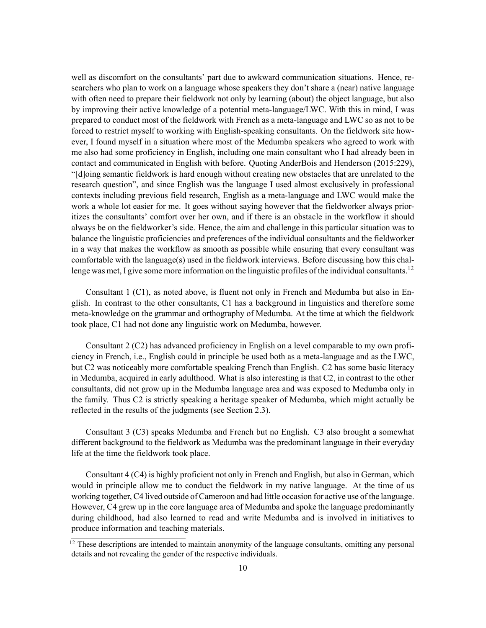well as discomfort on the consultants' part due to awkward communication situations. Hence, researchers who plan to work on a language whose speakers they don't share a (near) native language with often need to prepare their fieldwork not only by learning (about) the object language, but also by improving their active knowledge of a potential meta-language/LWC. With this in mind, I was prepared to conduct most of the fieldwork with French as a meta-language and LWC so as not to be forced to restrict myself to working with English-speaking consultants. On the fieldwork site however, I found myself in a situation where most of the Medumba speakers who agreed to work with me also had some proficiency in English, including one main consultant who I had already been in contact and communicated in English with before. Quoting [AnderBois and Henderson](#page-18-0) [\(2015](#page-18-0):229), "[d]oing semantic fieldwork is hard enough without creating new obstacles that are unrelated to the research question", and since English was the language I used almost exclusively in professional contexts including previous field research, English as a meta-language and LWC would make the work a whole lot easier for me. It goes without saying however that the fieldworker always prioritizes the consultants' comfort over her own, and if there is an obstacle in the workflow it should always be on the fieldworker's side. Hence, the aim and challenge in this particular situation was to balance the linguistic proficiencies and preferences of the individual consultants and the fieldworker in a way that makes the workflow as smooth as possible while ensuring that every consultant was comfortable with the language(s) used in the fieldwork interviews. Before discussing how this chal-lenge was met, I give some more information on the linguistic profiles of the individual consultants.<sup>[12](#page-9-0)</sup>

Consultant 1 (C1), as noted above, is fluent not only in French and Medumba but also in English. In contrast to the other consultants, C1 has a background in linguistics and therefore some meta-knowledge on the grammar and orthography of Medumba. At the time at which the fieldwork took place, C1 had not done any linguistic work on Medumba, however.

Consultant 2 (C2) has advanced proficiency in English on a level comparable to my own proficiency in French, i.e., English could in principle be used both as a meta-language and as the LWC, but C2 was noticeably more comfortable speaking French than English. C2 has some basic literacy in Medumba, acquired in early adulthood. What is also interesting is that C2, in contrast to the other consultants, did not grow up in the Medumba language area and was exposed to Medumba only in the family. Thus C2 is strictly speaking a heritage speaker of Medumba, which might actually be reflected in the results of the judgments (see Section [2.3\)](#page-10-0).

Consultant 3 (C3) speaks Medumba and French but no English. C3 also brought a somewhat different background to the fieldwork as Medumba was the predominant language in their everyday life at the time the fieldwork took place.

Consultant 4 (C4) is highly proficient not only in French and English, but also in German, which would in principle allow me to conduct the fieldwork in my native language. At the time of us working together, C4 lived outside of Cameroon and had little occasion for active use of the language. However, C4 grew up in the core language area of Medumba and spoke the language predominantly during childhood, had also learned to read and write Medumba and is involved in initiatives to produce information and teaching materials.

<span id="page-9-0"></span><sup>&</sup>lt;sup>12</sup> These descriptions are intended to maintain anonymity of the language consultants, omitting any personal details and not revealing the gender of the respective individuals.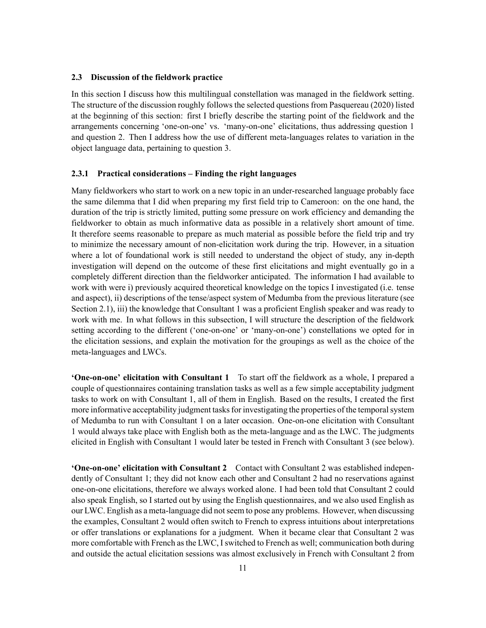#### <span id="page-10-0"></span>**2.3 Discussion of the fieldwork practice**

In this section I discuss how this multilingual constellation was managed in the fieldwork setting. The structure of the discussion roughly follows the selected questions from [Pasquereau](#page-19-5) ([2020](#page-19-5)) listed at the beginning of this section: first I briefly describe the starting point of the fieldwork and the arrangements concerning 'one-on-one' vs. 'many-on-one' elicitations, thus addressing question [1](#page-3-2) and question [2.](#page-4-1) Then I address how the use of different meta-languages relates to variation in the object language data, pertaining to question [3](#page-4-2).

## **2.3.1 Practical considerations – Finding the right languages**

Many fieldworkers who start to work on a new topic in an under-researched language probably face the same dilemma that I did when preparing my first field trip to Cameroon: on the one hand, the duration of the trip is strictly limited, putting some pressure on work efficiency and demanding the fieldworker to obtain as much informative data as possible in a relatively short amount of time. It therefore seems reasonable to prepare as much material as possible before the field trip and try to minimize the necessary amount of non-elicitation work during the trip. However, in a situation where a lot of foundational work is still needed to understand the object of study, any in-depth investigation will depend on the outcome of these first elicitations and might eventually go in a completely different direction than the fieldworker anticipated. The information I had available to work with were i) previously acquired theoretical knowledge on the topics I investigated (i.e. tense and aspect), ii) descriptions of the tense/aspect system of Medumba from the previous literature (see Section [2.1\)](#page-4-0), iii) the knowledge that Consultant 1 was a proficient English speaker and was ready to work with me. In what follows in this subsection, I will structure the description of the fieldwork setting according to the different ('one-on-one' or 'many-on-one') constellations we opted for in the elicitation sessions, and explain the motivation for the groupings as well as the choice of the meta-languages and LWCs.

**'One-on-one' elicitation with Consultant 1** To start off the fieldwork as a whole, I prepared a couple of questionnaires containing translation tasks as well as a few simple acceptability judgment tasks to work on with Consultant 1, all of them in English. Based on the results, I created the first more informative acceptability judgment tasks for investigating the properties of the temporal system of Medumba to run with Consultant 1 on a later occasion. One-on-one elicitation with Consultant 1 would always take place with English both as the meta-language and as the LWC. The judgments elicited in English with Consultant 1 would later be tested in French with Consultant 3 (see below).

**'One-on-one' elicitation with Consultant 2** Contact with Consultant 2 was established independently of Consultant 1; they did not know each other and Consultant 2 had no reservations against one-on-one elicitations, therefore we always worked alone. I had been told that Consultant 2 could also speak English, so I started out by using the English questionnaires, and we also used English as our LWC. English as a meta-language did not seem to pose any problems. However, when discussing the examples, Consultant 2 would often switch to French to express intuitions about interpretations or offer translations or explanations for a judgment. When it became clear that Consultant 2 was more comfortable with French as the LWC, I switched to French as well; communication both during and outside the actual elicitation sessions was almost exclusively in French with Consultant 2 from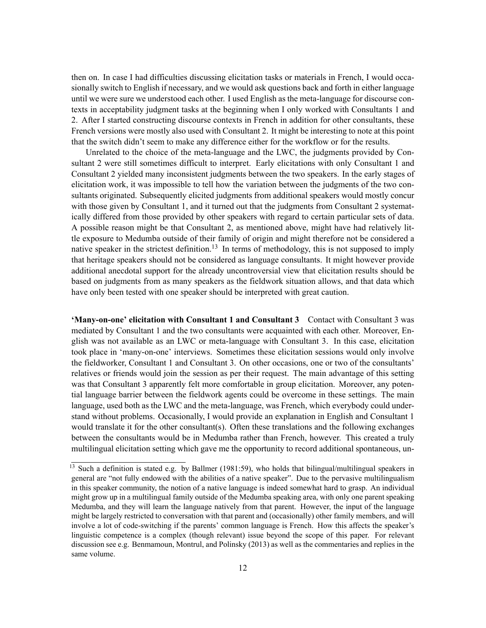then on. In case I had difficulties discussing elicitation tasks or materials in French, I would occasionally switch to English if necessary, and we would ask questions back and forth in either language until we were sure we understood each other. I used English as the meta-language for discourse contexts in acceptability judgment tasks at the beginning when I only worked with Consultants 1 and 2. After I started constructing discourse contexts in French in addition for other consultants, these French versions were mostly also used with Consultant 2. It might be interesting to note at this point that the switch didn't seem to make any difference either for the workflow or for the results.

Unrelated to the choice of the meta-language and the LWC, the judgments provided by Consultant 2 were still sometimes difficult to interpret. Early elicitations with only Consultant 1 and Consultant 2 yielded many inconsistent judgments between the two speakers. In the early stages of elicitation work, it was impossible to tell how the variation between the judgments of the two consultants originated. Subsequently elicited judgments from additional speakers would mostly concur with those given by Consultant 1, and it turned out that the judgments from Consultant 2 systematically differed from those provided by other speakers with regard to certain particular sets of data. A possible reason might be that Consultant 2, as mentioned above, might have had relatively little exposure to Medumba outside of their family of origin and might therefore not be considered a native speaker in the strictest definition.<sup>[13](#page-11-0)</sup> In terms of methodology, this is not supposed to imply that heritage speakers should not be considered as language consultants. It might however provide additional anecdotal support for the already uncontroversial view that elicitation results should be based on judgments from as many speakers as the fieldwork situation allows, and that data which have only been tested with one speaker should be interpreted with great caution.

**'Many-on-one' elicitation with Consultant 1 and Consultant 3** Contact with Consultant 3 was mediated by Consultant 1 and the two consultants were acquainted with each other. Moreover, English was not available as an LWC or meta-language with Consultant 3. In this case, elicitation took place in 'many-on-one' interviews. Sometimes these elicitation sessions would only involve the fieldworker, Consultant 1 and Consultant 3. On other occasions, one or two of the consultants' relatives or friends would join the session as per their request. The main advantage of this setting was that Consultant 3 apparently felt more comfortable in group elicitation. Moreover, any potential language barrier between the fieldwork agents could be overcome in these settings. The main language, used both as the LWC and the meta-language, was French, which everybody could understand without problems. Occasionally, I would provide an explanation in English and Consultant 1 would translate it for the other consultant(s). Often these translations and the following exchanges between the consultants would be in Medumba rather than French, however. This created a truly multilingual elicitation setting which gave me the opportunity to record additional spontaneous, un-

<span id="page-11-0"></span><sup>&</sup>lt;sup>13</sup> Such a definition is stated e.g. by [Ballmer](#page-18-10) ([1981](#page-18-10):59), who holds that bilingual/multilingual speakers in general are "not fully endowed with the abilities of a native speaker". Due to the pervasive multilingualism in this speaker community, the notion of a native language is indeed somewhat hard to grasp. An individual might grow up in a multilingual family outside of the Medumba speaking area, with only one parent speaking Medumba, and they will learn the language natively from that parent. However, the input of the language might be largely restricted to conversation with that parent and (occasionally) other family members, and will involve a lot of code-switching if the parents' common language is French. How this affects the speaker's linguistic competence is a complex (though relevant) issue beyond the scope of this paper. For relevant discussion see e.g. [Benmamoun, Montrul, and Polinsky](#page-18-11) [\(2013](#page-18-11)) as well as the commentaries and replies in the same volume.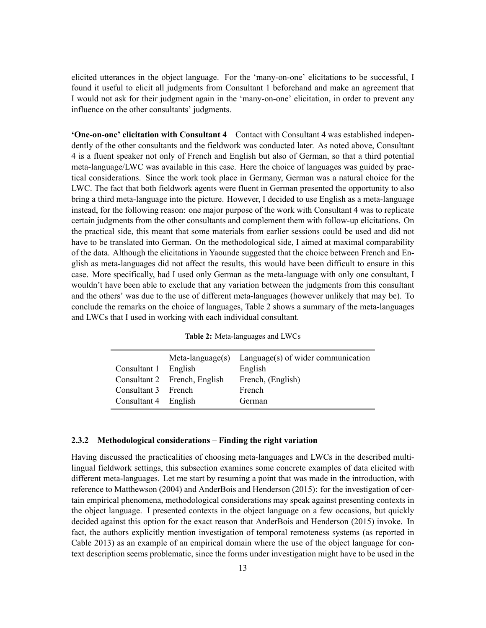elicited utterances in the object language. For the 'many-on-one' elicitations to be successful, I found it useful to elicit all judgments from Consultant 1 beforehand and make an agreement that I would not ask for their judgment again in the 'many-on-one' elicitation, in order to prevent any influence on the other consultants' judgments.

**'One-on-one' elicitation with Consultant 4** Contact with Consultant 4 was established independently of the other consultants and the fieldwork was conducted later. As noted above, Consultant 4 is a fluent speaker not only of French and English but also of German, so that a third potential meta-language/LWC was available in this case. Here the choice of languages was guided by practical considerations. Since the work took place in Germany, German was a natural choice for the LWC. The fact that both fieldwork agents were fluent in German presented the opportunity to also bring a third meta-language into the picture. However, I decided to use English as a meta-language instead, for the following reason: one major purpose of the work with Consultant 4 was to replicate certain judgments from the other consultants and complement them with follow-up elicitations. On the practical side, this meant that some materials from earlier sessions could be used and did not have to be translated into German. On the methodological side, I aimed at maximal comparability of the data. Although the elicitations in Yaounde suggested that the choice between French and English as meta-languages did not affect the results, this would have been difficult to ensure in this case. More specifically, had I used only German as the meta-language with only one consultant, I wouldn't have been able to exclude that any variation between the judgments from this consultant and the others' was due to the use of different meta-languages (however unlikely that may be). To conclude the remarks on the choice of languages, Table [2](#page-12-1) shows a summary of the meta-languages and LWCs that I used in working with each individual consultant.

<span id="page-12-1"></span>

|                      |                              | Meta-language(s) Language(s) of wider communication |
|----------------------|------------------------------|-----------------------------------------------------|
| Consultant 1 English |                              | English                                             |
|                      | Consultant 2 French, English | French, (English)                                   |
| Consultant 3 French  |                              | French                                              |
| Consultant 4 English |                              | German                                              |

**Table 2:** Meta-languages and LWCs

#### <span id="page-12-0"></span>**2.3.2 Methodological considerations – Finding the right variation**

Having discussed the practicalities of choosing meta-languages and LWCs in the described multilingual fieldwork settings, this subsection examines some concrete examples of data elicited with different meta-languages. Let me start by resuming a point that was made in the introduction, with reference to [Matthewson](#page-19-0) [\(2004\)](#page-19-0) and [AnderBois and Henderson](#page-18-0) ([2015\)](#page-18-0): for the investigation of certain empirical phenomena, methodological considerations may speak against presenting contexts in the object language. I presented contexts in the object language on a few occasions, but quickly decided against this option for the exact reason that [AnderBois and Henderson](#page-18-0) [\(2015](#page-18-0)) invoke. In fact, the authors explicitly mention investigation of temporal remoteness systems (as reported in [Cable](#page-18-9) [2013\)](#page-18-9) as an example of an empirical domain where the use of the object language for context description seems problematic, since the forms under investigation might have to be used in the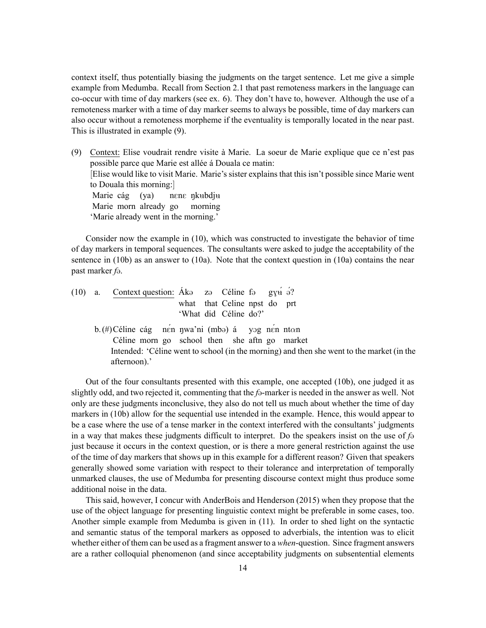context itself, thus potentially biasing the judgments on the target sentence. Let me give a simple example from Medumba. Recall from Section [2.1](#page-4-0) that past remoteness markers in the language can co-occur with time of day markers (see ex. [6](#page-4-0)). They don't have to, however. Although the use of a remoteness marker with a time of day marker seems to always be possible, time of day markers can also occur without a remoteness morpheme if the eventuality is temporally located in the near past. This is illustrated in example [\(9](#page-12-0)).

(9) Context: Elise voudrait rendre visite à Marie. La soeur de Marie explique que ce n'est pas possible parce que Marie est allée á Douala ce matin: [Elise would like to visit Marie. Marie's sister explains that this isn't possible since Marie went to Douala this morning:] Marie cág (ya) Marie morn already go nene <mark>ŋk</mark>ʉbdjʉ morning 'Marie already went in the morning.'

Consider now the example in [\(10](#page-12-0)), which was constructed to investigate the behavior of time of day markers in temporal sequences. The consultants were asked to judge the acceptability of the sentence in [\(10b\)](#page-12-0) as an answer to [\(10a\)](#page-12-0). Note that the context question in [\(10a](#page-12-0)) contains the near past marker *f*@.

- (10) a. Context question:  $\hat{A}k\Theta$ what that Celine npst do prt 'What did Céline do?' zə Céline fə  $g_{\rm YH}$  ə?
	- b. (#) Céline cág nén nwa'ni (mbo) á Céline morn go school then she aftn go market yOg nÉn nt*α*n Intended: 'Céline went to school (in the morning) and then she went to the market (in the afternoon).'

Out of the four consultants presented with this example, one accepted [\(10b\)](#page-12-0), one judged it as slightly odd, and two rejected it, commenting that the *f* $\theta$ -marker is needed in the answer as well. Not only are these judgments inconclusive, they also do not tell us much about whether the time of day markers in([10b](#page-12-0)) allow for the sequential use intended in the example. Hence, this would appear to be a case where the use of a tense marker in the context interfered with the consultants' judgments in a way that makes these judgments difficult to interpret. Do the speakers insist on the use of  $f_{\Theta}$ just because it occurs in the context question, or is there a more general restriction against the use of the time of day markers that shows up in this example for a different reason? Given that speakers generally showed some variation with respect to their tolerance and interpretation of temporally unmarked clauses, the use of Medumba for presenting discourse context might thus produce some additional noise in the data.

This said, however, I concur with [AnderBois and Henderson](#page-18-0) [\(2015\)](#page-18-0) when they propose that the use of the object language for presenting linguistic context might be preferable in some cases, too. Another simple example from Medumba is given in([11](#page-12-0)). In order to shed light on the syntactic and semantic status of the temporal markers as opposed to adverbials, the intention was to elicit whether either of them can be used as a fragment answer to a *when*-question. Since fragment answers are a rather colloquial phenomenon (and since acceptability judgments on subsentential elements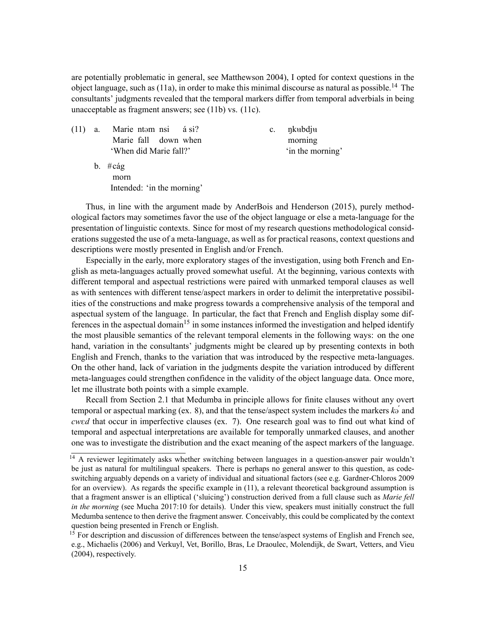are potentially problematic in general, see [Matthewson](#page-19-0) [2004](#page-19-0)), I opted for context questions in the object language, such as  $(11a)$ , in order to make this minimal discourse as natural as possible.<sup>[14](#page-14-0)</sup> The consultants' judgments revealed that the temporal markers differ from temporal adverbials in being unacceptable as fragment answers; see([11b\)](#page-12-0) vs.([11c](#page-12-0)).

 $(11)$  a. Marie fall ntəm nsi down when  $á$  si? 'When did Marie fall?'

c. nkubdju morning 'in the morning'

b. #cág morn Intended: 'in the morning'

Thus, in line with the argument made by [AnderBois and Henderson](#page-18-0) ([2015\)](#page-18-0), purely methodological factors may sometimes favor the use of the object language or else a meta-language for the presentation of linguistic contexts. Since for most of my research questions methodological considerations suggested the use of a meta-language, as well as for practical reasons, context questions and descriptions were mostly presented in English and/or French.

Especially in the early, more exploratory stages of the investigation, using both French and English as meta-languages actually proved somewhat useful. At the beginning, various contexts with different temporal and aspectual restrictions were paired with unmarked temporal clauses as well as with sentences with different tense/aspect markers in order to delimit the interpretative possibilities of the constructions and make progress towards a comprehensive analysis of the temporal and aspectual system of the language. In particular, the fact that French and English display some dif-ferences in the aspectual domain<sup>[15](#page-14-1)</sup> in some instances informed the investigation and helped identify the most plausible semantics of the relevant temporal elements in the following ways: on the one hand, variation in the consultants' judgments might be cleared up by presenting contexts in both English and French, thanks to the variation that was introduced by the respective meta-languages. On the other hand, lack of variation in the judgments despite the variation introduced by different meta-languages could strengthen confidence in the validity of the object language data. Once more, let me illustrate both points with a simple example.

Recall from Section [2.1](#page-4-0) that Medumba in principle allows for finite clauses without any overt temporal or aspectual marking (ex. [8\)](#page-4-0), and that the tense/aspect system includes the markers  $k\sigma$ <sup>*a*</sup> and *cwed* that occur in imperfective clauses (ex. [7](#page-4-0)). One research goal was to find out what kind of temporal and aspectual interpretations are available for temporally unmarked clauses, and another one was to investigate the distribution and the exact meaning of the aspect markers of the language.

<span id="page-14-0"></span><sup>&</sup>lt;sup>14</sup> A reviewer legitimately asks whether switching between languages in a question-answer pair wouldn't be just as natural for multilingual speakers. There is perhaps no general answer to this question, as codeswitching arguably depends on a variety of individual and situational factors (see e.g. [Gardner-Chloros](#page-18-12) [2009](#page-18-12) for an overview). As regards the specific example in([11\)](#page-12-0), a relevant theoretical background assumption is that a fragment answer is an elliptical ('sluicing') construction derived from a full clause such as *Marie fell in the morning* (see [Mucha](#page-19-12) [2017:](#page-19-12)10 for details). Under this view, speakers must initially construct the full Medumba sentence to then derive the fragment answer. Conceivably, this could be complicated by the context question being presented in French or English.

<span id="page-14-1"></span> $15$  For description and discussion of differences between the tense/aspect systems of English and French see, e.g., [Michaelis](#page-19-15) [\(2006\)](#page-19-15) and [Verkuyl, Vet, Borillo, Bras, Le Draoulec, Molendijk, de Swart, Vetters, and Vieu](#page-19-16) [\(2004](#page-19-16)), respectively.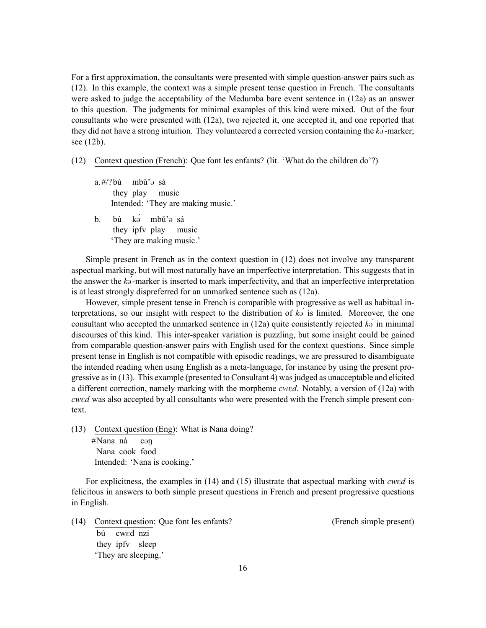For a first approximation, the consultants were presented with simple question-answer pairs such as ([12\)](#page-12-0). In this example, the context was a simple present tense question in French. The consultants were asked to judge the acceptability of the Medumba bare event sentence in([12a\)](#page-12-0) as an answer to this question. The judgments for minimal examples of this kind were mixed. Out of the four consultants who were presented with [\(12a\)](#page-12-0), two rejected it, one accepted it, and one reported that they did not have a strong intuition. They volunteered a corrected version containing the  $k\sigma$ <sup>*-marker*;</sup> see [\(12b\)](#page-12-0).

- (12) Context question (French): Que font les enfants? (lit. 'What do the children do'?)
	- a. #/? bú mbǔ'@ sá they play music Intended: 'They are making music.'
	- b. bú k<del>o mbŭ'o</del> sá they ipfv play music 'They are making music.'

Simple present in French as in the context question in [\(12](#page-12-0)) does not involve any transparent aspectual marking, but will most naturally have an imperfective interpretation. This suggests that in the answer the *k*@*́*-marker is inserted to mark imperfectivity, and that an imperfective interpretation is at least strongly dispreferred for an unmarked sentence such as([12a](#page-12-0)).

However, simple present tense in French is compatible with progressive as well as habitual interpretations, so our insight with respect to the distribution of  $k\ddot{\theta}$  is limited. Moreover, the one consultantwho accepted the unmarked sentence in ([12a\)](#page-12-0) quite consistently rejected  $k\sigma$ <sup>*i*</sup> in minimal discourses of this kind. This inter-speaker variation is puzzling, but some insight could be gained from comparable question-answer pairs with English used for the context questions. Since simple present tense in English is not compatible with episodic readings, we are pressured to disambiguate the intended reading when using English as a meta-language, for instance by using the present progressive as in([13\)](#page-12-0). This example (presented to Consultant 4) was judged as unacceptable and elicited a different correction, namely marking with the morpheme *cwed*. Notably, a version of [\(12a\)](#page-12-0) with *cwed* was also accepted by all consultants who were presented with the French simple present context.

(13) Context question (Eng): What is Nana doing? #Nana ná Nana cook food cən Intended: 'Nana is cooking.'

For explicitness, the examples in [\(14](#page-12-0)) and [\(15](#page-12-0)) illustrate that aspectual marking with *cwed* is felicitous in answers to both simple present questions in French and present progressive questions in English.

(14) Context question: Que font les enfants? (French simple present) bú they ipfv sleep cwEd nzi 'They are sleeping.'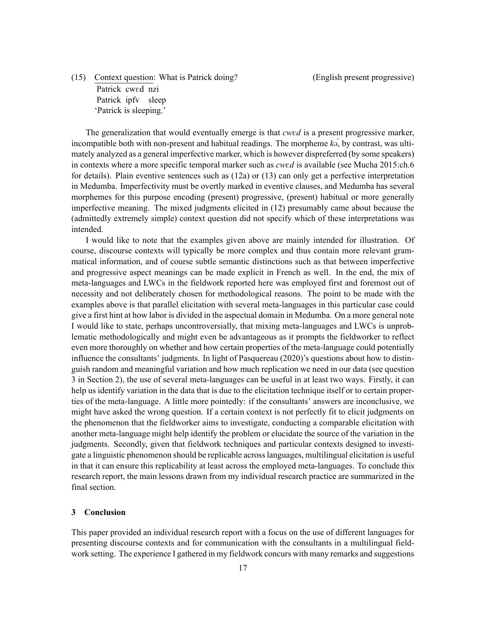(15) Context question: What is Patrick doing? (English present progressive) Patrick cwed nzi Patrick ipfv sleep 'Patrick is sleeping.'

The generalization that would eventually emerge is that *cwed* is a present progressive marker, incompatible both with non-present and habitual readings. The morpheme  $k\sigma$ , by contrast, was ultimately analyzed as a general imperfective marker, which is however dispreferred (by some speakers) in contexts where a more specific temporal marker such as *cwed* is available (see [Mucha](#page-19-11) [2015](#page-19-11):ch.6) for details). Plain eventive sentences such as [\(12a\)](#page-12-0) or([13](#page-12-0)) can only get a perfective interpretation in Medumba. Imperfectivity must be overtly marked in eventive clauses, and Medumba has several morphemes for this purpose encoding (present) progressive, (present) habitual or more generally imperfective meaning. The mixed judgments elicited in([12\)](#page-12-0) presumably came about because the (admittedly extremely simple) context question did not specify which of these interpretations was intended.

I would like to note that the examples given above are mainly intended for illustration. Of course, discourse contexts will typically be more complex and thus contain more relevant grammatical information, and of course subtle semantic distinctions such as that between imperfective and progressive aspect meanings can be made explicit in French as well. In the end, the mix of meta-languages and LWCs in the fieldwork reported here was employed first and foremost out of necessity and not deliberately chosen for methodological reasons. The point to be made with the examples above is that parallel elicitation with several meta-languages in this particular case could give a first hint at how labor is divided in the aspectual domain in Medumba. On a more general note I would like to state, perhaps uncontroversially, that mixing meta-languages and LWCs is unproblematic methodologically and might even be advantageous as it prompts the fieldworker to reflect even more thoroughly on whether and how certain properties of the meta-language could potentially influence the consultants' judgments. In light of [Pasquereau](#page-19-5) ([2020](#page-19-5))'s questions about how to distinguish random and meaningful variation and how much replication we need in our data (see question [3](#page-4-2) in Section [2\)](#page-3-0), the use of several meta-languages can be useful in at least two ways. Firstly, it can help us identify variation in the data that is due to the elicitation technique itself or to certain properties of the meta-language. A little more pointedly: if the consultants' answers are inconclusive, we might have asked the wrong question. If a certain context is not perfectly fit to elicit judgments on the phenomenon that the fieldworker aims to investigate, conducting a comparable elicitation with another meta-language might help identify the problem or elucidate the source of the variation in the judgments. Secondly, given that fieldwork techniques and particular contexts designed to investigate a linguistic phenomenon should be replicable across languages, multilingual elicitation is useful in that it can ensure this replicability at least across the employed meta-languages. To conclude this research report, the main lessons drawn from my individual research practice are summarized in the final section.

# <span id="page-16-0"></span>**3 Conclusion**

This paper provided an individual research report with a focus on the use of different languages for presenting discourse contexts and for communication with the consultants in a multilingual fieldwork setting. The experience I gathered in my fieldwork concurs with many remarks and suggestions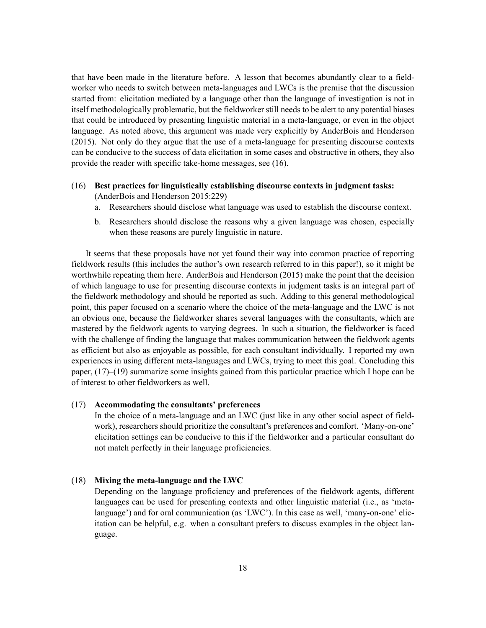that have been made in the literature before. A lesson that becomes abundantly clear to a fieldworker who needs to switch between meta-languages and LWCs is the premise that the discussion started from: elicitation mediated by a language other than the language of investigation is not in itself methodologically problematic, but the fieldworker still needs to be alert to any potential biases that could be introduced by presenting linguistic material in a meta-language, or even in the object language. As noted above, this argument was made very explicitly by [AnderBois and Henderson](#page-18-0) ([2015](#page-18-0)). Not only do they argue that the use of a meta-language for presenting discourse contexts can be conducive to the success of data elicitation in some cases and obstructive in others, they also provide the reader with specific take-home messages, see([16](#page-16-0)).

# (16) **Best practices for linguistically establishing discourse contexts in judgment tasks:** ([AnderBois and Henderson](#page-18-0) [2015:](#page-18-0)229)

- a. Researchers should disclose what language was used to establish the discourse context.
- b. Researchers should disclose the reasons why a given language was chosen, especially when these reasons are purely linguistic in nature.

It seems that these proposals have not yet found their way into common practice of reporting fieldwork results (this includes the author's own research referred to in this paper!), so it might be worthwhile repeating them here. [AnderBois and Henderson](#page-18-0) [\(2015\)](#page-18-0) make the point that the decision of which language to use for presenting discourse contexts in judgment tasks is an integral part of the fieldwork methodology and should be reported as such. Adding to this general methodological point, this paper focused on a scenario where the choice of the meta-language and the LWC is not an obvious one, because the fieldworker shares several languages with the consultants, which are mastered by the fieldwork agents to varying degrees. In such a situation, the fieldworker is faced with the challenge of finding the language that makes communication between the fieldwork agents as efficient but also as enjoyable as possible, for each consultant individually. I reported my own experiences in using different meta-languages and LWCs, trying to meet this goal. Concluding this paper, [\(17\)](#page-16-0)–([19\)](#page-16-0) summarize some insights gained from this particular practice which I hope can be of interest to other fieldworkers as well.

# (17) **Accommodating the consultants' preferences**

In the choice of a meta-language and an LWC (just like in any other social aspect of fieldwork), researchers should prioritize the consultant's preferences and comfort. 'Many-on-one' elicitation settings can be conducive to this if the fieldworker and a particular consultant do not match perfectly in their language proficiencies.

# (18) **Mixing the meta-language and the LWC**

Depending on the language proficiency and preferences of the fieldwork agents, different languages can be used for presenting contexts and other linguistic material (i.e., as 'metalanguage') and for oral communication (as 'LWC'). In this case as well, 'many-on-one' elicitation can be helpful, e.g. when a consultant prefers to discuss examples in the object language.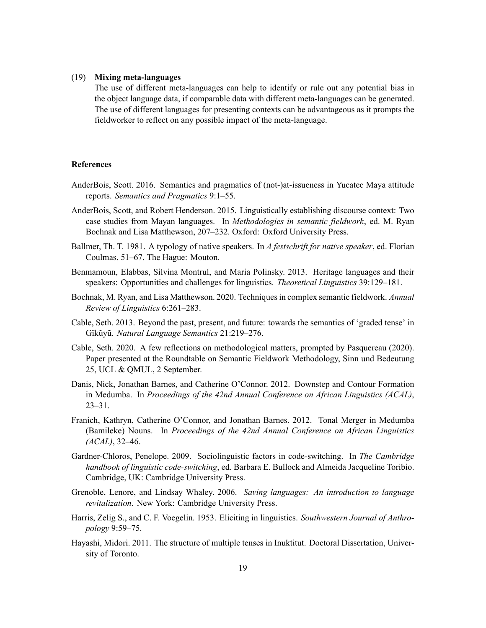## (19) **Mixing meta-languages**

The use of different meta-languages can help to identify or rule out any potential bias in the object language data, if comparable data with different meta-languages can be generated. The use of different languages for presenting contexts can be advantageous as it prompts the fieldworker to reflect on any possible impact of the meta-language.

## **References**

- <span id="page-18-2"></span>AnderBois, Scott. 2016. Semantics and pragmatics of (not-)at-issueness in Yucatec Maya attitude reports. *Semantics and Pragmatics* 9:1–55.
- <span id="page-18-0"></span>AnderBois, Scott, and Robert Henderson. 2015. Linguistically establishing discourse context: Two case studies from Mayan languages. In *Methodologies in semantic fieldwork*, ed. M. Ryan Bochnak and Lisa Matthewson, 207–232. Oxford: Oxford University Press.
- <span id="page-18-10"></span>Ballmer, Th. T. 1981. A typology of native speakers. In *A festschrift for native speaker*, ed. Florian Coulmas, 51–67. The Hague: Mouton.
- <span id="page-18-11"></span>Benmamoun, Elabbas, Silvina Montrul, and Maria Polinsky. 2013. Heritage languages and their speakers: Opportunities and challenges for linguistics. *Theoretical Linguistics* 39:129–181.
- <span id="page-18-5"></span>Bochnak, M. Ryan, and Lisa Matthewson. 2020. Techniques in complex semantic fieldwork. *Annual Review of Linguistics* 6:261–283.
- <span id="page-18-9"></span>Cable, Seth. 2013. Beyond the past, present, and future: towards the semantics of 'graded tense' in Gĩkũyũ. *Natural Language Semantics* 21:219–276.
- <span id="page-18-4"></span>Cable, Seth. 2020. A few reflections on methodological matters, prompted by Pasquereau (2020). Paper presented at the Roundtable on Semantic Fieldwork Methodology, Sinn und Bedeutung 25, UCL & QMUL, 2 September.
- <span id="page-18-6"></span>Danis, Nick, Jonathan Barnes, and Catherine O'Connor. 2012. Downstep and Contour Formation in Medumba. In *Proceedings of the 42nd Annual Conference on African Linguistics (ACAL)*, 23–31.
- <span id="page-18-7"></span>Franich, Kathryn, Catherine O'Connor, and Jonathan Barnes. 2012. Tonal Merger in Medumba (Bamileke) Nouns. In *Proceedings of the 42nd Annual Conference on African Linguistics (ACAL)*, 32–46.
- <span id="page-18-12"></span>Gardner-Chloros, Penelope. 2009. Sociolinguistic factors in code-switching. In *The Cambridge handbook of linguistic code-switching*, ed. Barbara E. Bullock and Almeida Jacqueline Toribio. Cambridge, UK: Cambridge University Press.
- <span id="page-18-3"></span>Grenoble, Lenore, and Lindsay Whaley. 2006. *Saving languages: An introduction to language revitalization*. New York: Cambridge University Press.
- <span id="page-18-1"></span>Harris, Zelig S., and C. F. Voegelin. 1953. Eliciting in linguistics. *Southwestern Journal of Anthropology* 9:59–75.
- <span id="page-18-8"></span>Hayashi, Midori. 2011. The structure of multiple tenses in Inuktitut. Doctoral Dissertation, University of Toronto.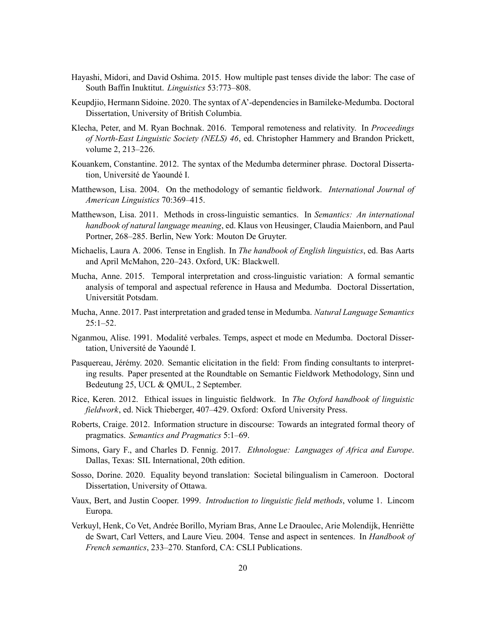- <span id="page-19-9"></span>Hayashi, Midori, and David Oshima. 2015. How multiple past tenses divide the labor: The case of South Baffin Inuktitut. *Linguistics* 53:773–808.
- <span id="page-19-7"></span>Keupdjio, Hermann Sidoine. 2020. The syntax of A'-dependencies in Bamileke-Medumba. Doctoral Dissertation, University of British Columbia.
- <span id="page-19-10"></span>Klecha, Peter, and M. Ryan Bochnak. 2016. Temporal remoteness and relativity. In *Proceedings of North-East Linguistic Society (NELS) 46*, ed. Christopher Hammery and Brandon Prickett, volume 2, 213–226.
- <span id="page-19-6"></span>Kouankem, Constantine. 2012. The syntax of the Medumba determiner phrase. Doctoral Dissertation, Université de Yaoundé I.
- <span id="page-19-0"></span>Matthewson, Lisa. 2004. On the methodology of semantic fieldwork. *International Journal of American Linguistics* 70:369–415.
- <span id="page-19-2"></span>Matthewson, Lisa. 2011. Methods in cross-linguistic semantics. In *Semantics: An international handbook of natural language meaning*, ed. Klaus von Heusinger, Claudia Maienborn, and Paul Portner, 268–285. Berlin, New York: Mouton De Gruyter.
- <span id="page-19-15"></span>Michaelis, Laura A. 2006. Tense in English. In *The handbook of English linguistics*, ed. Bas Aarts and April McMahon, 220–243. Oxford, UK: Blackwell.
- <span id="page-19-11"></span>Mucha, Anne. 2015. Temporal interpretation and cross-linguistic variation: A formal semantic analysis of temporal and aspectual reference in Hausa and Medumba. Doctoral Dissertation, Universität Potsdam.
- <span id="page-19-12"></span>Mucha, Anne. 2017. Past interpretation and graded tense in Medumba. *Natural Language Semantics*  $25:1 - 52$ .
- <span id="page-19-8"></span>Nganmou, Alise. 1991. Modalité verbales. Temps, aspect et mode en Medumba. Doctoral Dissertation, Université de Yaoundé I.
- <span id="page-19-5"></span>Pasquereau, Jérémy. 2020. Semantic elicitation in the field: From finding consultants to interpreting results. Paper presented at the Roundtable on Semantic Fieldwork Methodology, Sinn und Bedeutung 25, UCL & QMUL, 2 September.
- <span id="page-19-4"></span>Rice, Keren. 2012. Ethical issues in linguistic fieldwork. In *The Oxford handbook of linguistic fieldwork*, ed. Nick Thieberger, 407–429. Oxford: Oxford University Press.
- <span id="page-19-1"></span>Roberts, Craige. 2012. Information structure in discourse: Towards an integrated formal theory of pragmatics. *Semantics and Pragmatics* 5:1–69.
- <span id="page-19-13"></span>Simons, Gary F., and Charles D. Fennig. 2017. *Ethnologue: Languages of Africa and Europe*. Dallas, Texas: SIL International, 20th edition.
- <span id="page-19-14"></span>Sosso, Dorine. 2020. Equality beyond translation: Societal bilingualism in Cameroon. Doctoral Dissertation, University of Ottawa.
- <span id="page-19-3"></span>Vaux, Bert, and Justin Cooper. 1999. *Introduction to linguistic field methods*, volume 1. Lincom Europa.
- <span id="page-19-16"></span>Verkuyl, Henk, Co Vet, Andrée Borillo, Myriam Bras, Anne Le Draoulec, Arie Molendijk, Henriëtte de Swart, Carl Vetters, and Laure Vieu. 2004. Tense and aspect in sentences. In *Handbook of French semantics*, 233–270. Stanford, CA: CSLI Publications.